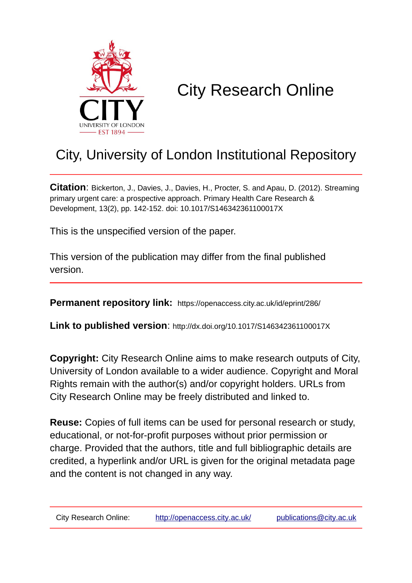

# City Research Online

## City, University of London Institutional Repository

**Citation**: Bickerton, J., Davies, J., Davies, H., Procter, S. and Apau, D. (2012). Streaming primary urgent care: a prospective approach. Primary Health Care Research & Development, 13(2), pp. 142-152. doi: 10.1017/S146342361100017X

This is the unspecified version of the paper.

This version of the publication may differ from the final published version.

**Permanent repository link:** https://openaccess.city.ac.uk/id/eprint/286/

**Link to published version**: http://dx.doi.org/10.1017/S146342361100017X

**Copyright:** City Research Online aims to make research outputs of City, University of London available to a wider audience. Copyright and Moral Rights remain with the author(s) and/or copyright holders. URLs from City Research Online may be freely distributed and linked to.

**Reuse:** Copies of full items can be used for personal research or study, educational, or not-for-profit purposes without prior permission or charge. Provided that the authors, title and full bibliographic details are credited, a hyperlink and/or URL is given for the original metadata page and the content is not changed in any way.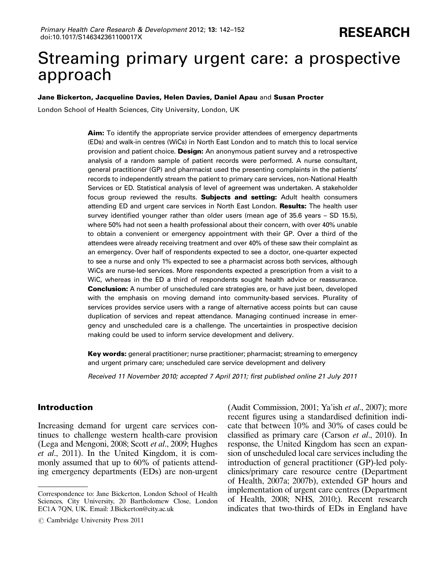### Streaming primary urgent care: a prospective approach

Jane Bickerton, Jacqueline Davies, Helen Davies, Daniel Apau and Susan Procter

London School of Health Sciences, City University, London, UK

**Aim:** To identify the appropriate service provider attendees of emergency departments (EDs) and walk-in centres (WiCs) in North East London and to match this to local service provision and patient choice. Design: An anonymous patient survey and a retrospective analysis of a random sample of patient records were performed. A nurse consultant, general practitioner (GP) and pharmacist used the presenting complaints in the patients' records to independently stream the patient to primary care services, non-National Health Services or ED. Statistical analysis of level of agreement was undertaken. A stakeholder focus group reviewed the results. **Subjects and setting:** Adult health consumers attending ED and urgent care services in North East London. Results: The health user survey identified younger rather than older users (mean age of 35.6 years – SD 15.5), where 50% had not seen a health professional about their concern, with over 40% unable to obtain a convenient or emergency appointment with their GP. Over a third of the attendees were already receiving treatment and over 40% of these saw their complaint as an emergency. Over half of respondents expected to see a doctor, one-quarter expected to see a nurse and only 1% expected to see a pharmacist across both services, although WiCs are nurse-led services. More respondents expected a prescription from a visit to a WiC, whereas in the ED a third of respondents sought health advice or reassurance. **Conclusion:** A number of unscheduled care strategies are, or have just been, developed with the emphasis on moving demand into community-based services. Plurality of services provides service users with a range of alternative access points but can cause duplication of services and repeat attendance. Managing continued increase in emergency and unscheduled care is a challenge. The uncertainties in prospective decision making could be used to inform service development and delivery.

**Key words:** general practitioner; nurse practitioner; pharmacist; streaming to emergency and urgent primary care; unscheduled care service development and delivery

*Received 11 November 2010; accepted 7 April 2011; first published online 21 July 2011*

#### Introduction

Increasing demand for urgent care services continues to challenge western health-care provision (Lega and Mengoni, 2008; Scott et al., 2009; Hughes et al., 2011). In the United Kingdom, it is commonly assumed that up to 60% of patients attending emergency departments (EDs) are non-urgent (Audit Commission, 2001; Ya'ish et al., 2007); more recent figures using a standardised definition indicate that between 10% and 30% of cases could be classified as primary care (Carson et al., 2010). In response, the United Kingdom has seen an expansion of unscheduled local care services including the introduction of general practitioner (GP)-led polyclinics/primary care resource centre (Department of Health, 2007a; 2007b), extended GP hours and implementation of urgent care centres (Department of Health, 2008; NHS, 2010;). Recent research indicates that two-thirds of EDs in England have

Correspondence to: Jane Bickerton, London School of Health Sciences, City University, 20 Bartholomew Close, London EC1A 7QN, UK. Email: J.Bickerton@city.ac.uk

 $\circ$  Cambridge University Press 2011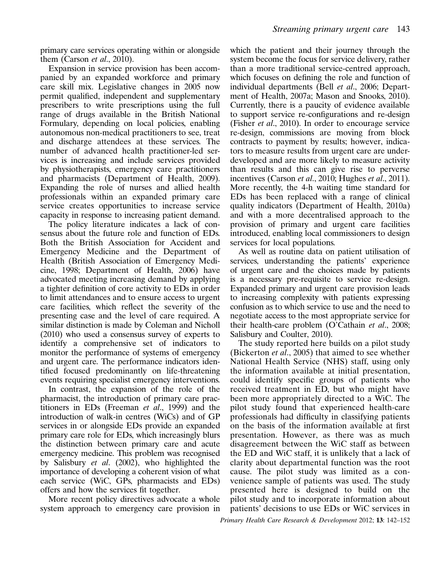primary care services operating within or alongside them (Carson *et al.*, 2010).

Expansion in service provision has been accompanied by an expanded workforce and primary care skill mix. Legislative changes in 2005 now permit qualified, independent and supplementary prescribers to write prescriptions using the full range of drugs available in the British National Formulary, depending on local policies, enabling autonomous non-medical practitioners to see, treat and discharge attendees at these services. The number of advanced health practitioner-led services is increasing and include services provided by physiotherapists, emergency care practitioners and pharmacists (Department of Health, 2009). Expanding the role of nurses and allied health professionals within an expanded primary care service creates opportunities to increase service capacity in response to increasing patient demand.

The policy literature indicates a lack of consensus about the future role and function of EDs. Both the British Association for Accident and Emergency Medicine and the Department of Health (British Association of Emergency Medicine, 1998; Department of Health, 2006) have advocated meeting increasing demand by applying a tighter definition of core activity to EDs in order to limit attendances and to ensure access to urgent care facilities, which reflect the severity of the presenting case and the level of care required. A similar distinction is made by Coleman and Nicholl (2010) who used a consensus survey of experts to identify a comprehensive set of indicators to monitor the performance of systems of emergency and urgent care. The performance indicators identified focused predominantly on life-threatening events requiring specialist emergency interventions.

In contrast, the expansion of the role of the pharmacist, the introduction of primary care practitioners in EDs (Freeman et al., 1999) and the introduction of walk-in centres (WiCs) and of GP services in or alongside EDs provide an expanded primary care role for EDs, which increasingly blurs the distinction between primary care and acute emergency medicine. This problem was recognised by Salisbury et al. (2002), who highlighted the importance of developing a coherent vision of what each service (WiC, GPs, pharmacists and EDs) offers and how the services fit together.

More recent policy directives advocate a whole system approach to emergency care provision in which the patient and their journey through the system become the focus for service delivery, rather than a more traditional service-centred approach, which focuses on defining the role and function of individual departments (Bell et al., 2006; Department of Health, 2007a; Mason and Snooks, 2010). Currently, there is a paucity of evidence available to support service re-configurations and re-design (Fisher et al., 2010). In order to encourage service re-design, commissions are moving from block contracts to payment by results; however, indicators to measure results from urgent care are underdeveloped and are more likely to measure activity than results and this can give rise to perverse incentives (Carson *et al.*, 2010; Hughes *et al.*, 2011). More recently, the 4-h waiting time standard for EDs has been replaced with a range of clinical quality indicators (Department of Health, 2010a) and with a more decentralised approach to the provision of primary and urgent care facilities introduced, enabling local commissioners to design services for local populations.

As well as routine data on patient utilisation of services, understanding the patients' experience of urgent care and the choices made by patients is a necessary pre-requisite to service re-design. Expanded primary and urgent care provision leads to increasing complexity with patients expressing confusion as to which service to use and the need to negotiate access to the most appropriate service for their health-care problem (O'Cathain et al., 2008; Salisbury and Coulter, 2010).

The study reported here builds on a pilot study (Bickerton  $et$   $al$ , 2005) that aimed to see whether National Health Service (NHS) staff, using only the information available at initial presentation, could identify specific groups of patients who received treatment in ED, but who might have been more appropriately directed to a WiC. The pilot study found that experienced health-care professionals had difficulty in classifying patients on the basis of the information available at first presentation. However, as there was as much disagreement between the WiC staff as between the ED and WiC staff, it is unlikely that a lack of clarity about departmental function was the root cause. The pilot study was limited as a convenience sample of patients was used. The study presented here is designed to build on the pilot study and to incorporate information about patients' decisions to use EDs or WiC services in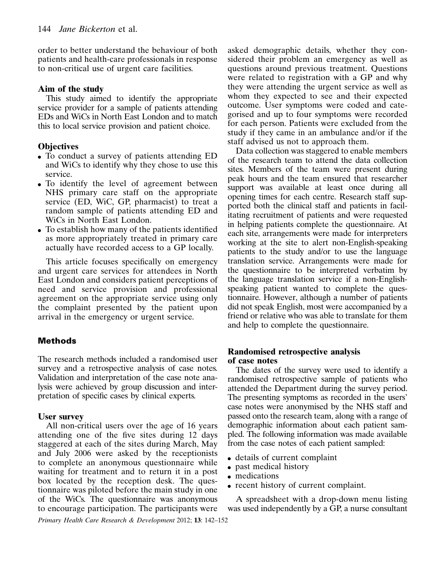order to better understand the behaviour of both patients and health-care professionals in response to non-critical use of urgent care facilities.

#### Aim of the study

This study aimed to identify the appropriate service provider for a sample of patients attending EDs and WiCs in North East London and to match this to local service provision and patient choice.

#### **Objectives**

- <sup>&</sup>gt; To conduct a survey of patients attending ED and WiCs to identify why they chose to use this service.
- <sup>&</sup>gt; To identify the level of agreement between NHS primary care staff on the appropriate service (ED, WiC, GP, pharmacist) to treat a random sample of patients attending ED and WiCs in North East London.
- To establish how many of the patients identified as more appropriately treated in primary care actually have recorded access to a GP locally.

This article focuses specifically on emergency and urgent care services for attendees in North East London and considers patient perceptions of need and service provision and professional agreement on the appropriate service using only the complaint presented by the patient upon arrival in the emergency or urgent service.

#### Methods

The research methods included a randomised user survey and a retrospective analysis of case notes. Validation and interpretation of the case note analysis were achieved by group discussion and interpretation of specific cases by clinical experts.

#### User survey

All non-critical users over the age of 16 years attending one of the five sites during 12 days staggered at each of the sites during March, May and July 2006 were asked by the receptionists to complete an anonymous questionnaire while waiting for treatment and to return it in a post box located by the reception desk. The questionnaire was piloted before the main study in one of the WiCs. The questionnaire was anonymous to encourage participation. The participants were

asked demographic details, whether they considered their problem an emergency as well as questions around previous treatment. Questions were related to registration with a GP and why they were attending the urgent service as well as whom they expected to see and their expected outcome. User symptoms were coded and categorised and up to four symptoms were recorded for each person. Patients were excluded from the study if they came in an ambulance and/or if the staff advised us not to approach them.

Data collection was staggered to enable members of the research team to attend the data collection sites. Members of the team were present during peak hours and the team ensured that researcher support was available at least once during all opening times for each centre. Research staff supported both the clinical staff and patients in facilitating recruitment of patients and were requested in helping patients complete the questionnaire. At each site, arrangements were made for interpreters working at the site to alert non-English-speaking patients to the study and/or to use the language translation service. Arrangements were made for the questionnaire to be interpreted verbatim by the language translation service if a non-Englishspeaking patient wanted to complete the questionnaire. However, although a number of patients did not speak English, most were accompanied by a friend or relative who was able to translate for them and help to complete the questionnaire.

#### Randomised retrospective analysis of case notes

The dates of the survey were used to identify a randomised retrospective sample of patients who attended the Department during the survey period. The presenting symptoms as recorded in the users' case notes were anonymised by the NHS staff and passed onto the research team, along with a range of demographic information about each patient sampled. The following information was made available from the case notes of each patient sampled:

- <sup>&</sup>gt; details of current complaint
- past medical history
- medications
- <sup>&</sup>gt; recent history of current complaint.

A spreadsheet with a drop-down menu listing was used independently by a GP, a nurse consultant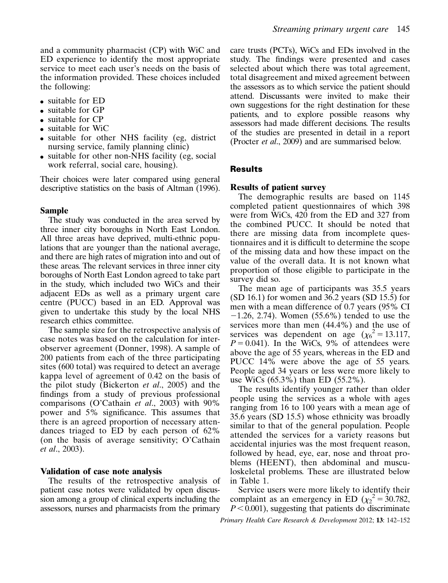and a community pharmacist (CP) with WiC and ED experience to identify the most appropriate service to meet each user's needs on the basis of the information provided. These choices included the following:

- suitable for ED
- suitable for GP
- suitable for CP
- <sup>&</sup>gt; suitable for WiC
- <sup>&</sup>gt; suitable for other NHS facility (eg, district nursing service, family planning clinic)
- suitable for other non-NHS facility (eg, social work referral, social care, housing).

Their choices were later compared using general descriptive statistics on the basis of Altman (1996).

#### Sample

The study was conducted in the area served by three inner city boroughs in North East London. All three areas have deprived, multi-ethnic populations that are younger than the national average, and there are high rates of migration into and out of these areas. The relevant services in three inner city boroughs of North East London agreed to take part in the study, which included two WiCs and their adjacent EDs as well as a primary urgent care centre (PUCC) based in an ED. Approval was given to undertake this study by the local NHS research ethics committee.

The sample size for the retrospective analysis of case notes was based on the calculation for interobserver agreement (Donner, 1998). A sample of 200 patients from each of the three participating sites (600 total) was required to detect an average kappa level of agreement of 0.42 on the basis of the pilot study (Bickerton et al., 2005) and the findings from a study of previous professional comparisons (O'Cathain et al., 2003) with 90% power and 5% significance. This assumes that there is an agreed proportion of necessary attendances triaged to ED by each person of 62% (on the basis of average sensitivity; O'Cathain et al., 2003).

#### Validation of case note analysis

The results of the retrospective analysis of patient case notes were validated by open discussion among a group of clinical experts including the assessors, nurses and pharmacists from the primary care trusts (PCTs), WiCs and EDs involved in the study. The findings were presented and cases selected about which there was total agreement, total disagreement and mixed agreement between the assessors as to which service the patient should attend. Discussants were invited to make their own suggestions for the right destination for these patients, and to explore possible reasons why assessors had made different decisions. The results of the studies are presented in detail in a report (Procter et al., 2009) and are summarised below.

#### Results

#### Results of patient survey

The demographic results are based on 1145 completed patient questionnaires of which 398 were from WiCs, 420 from the ED and 327 from the combined PUCC. It should be noted that there are missing data from incomplete questionnaires and it is difficult to determine the scope of the missing data and how these impact on the value of the overall data. It is not known what proportion of those eligible to participate in the survey did so.

The mean age of participants was 35.5 years (SD 16.1) for women and 36.2 years (SD 15.5) for men with a mean difference of 0.7 years (95% CI  $-1.26$ , 2.74). Women (55.6%) tended to use the services more than men (44.4%) and the use of services was dependent on age  $(\chi_6^2 = 13.117,$  $P = 0.041$ ). In the WiCs, 9% of attendees were above the age of 55 years, whereas in the ED and PUCC 14% were above the age of 55 years. People aged 34 years or less were more likely to use WiCs (65.3%) than ED (55.2%).

The results identify younger rather than older people using the services as a whole with ages ranging from 16 to 100 years with a mean age of 35.6 years (SD 15.5) whose ethnicity was broadly similar to that of the general population. People attended the services for a variety reasons but accidental injuries was the most frequent reason, followed by head, eye, ear, nose and throat problems (HEENT), then abdominal and musculoskeletal problems. These are illustrated below in Table 1.

Service users were more likely to identify their complaint as an emergency in ED ( $\chi_2^2 = 30.782$ ,  $P < 0.001$ ), suggesting that patients do discriminate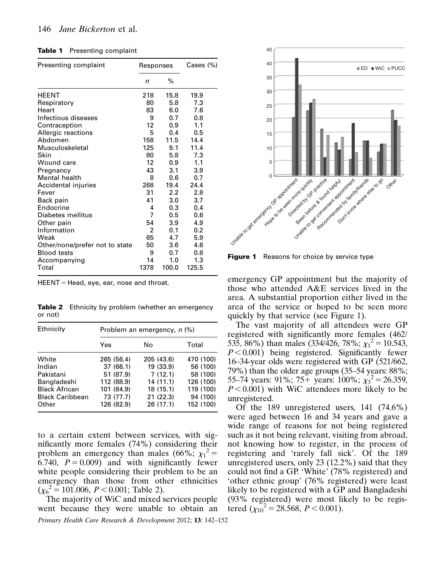#### 146 Jane Bickerton et al.

| Presenting complaint           | Responses      |       | Cases (%) |  |
|--------------------------------|----------------|-------|-----------|--|
|                                | n              | $\%$  |           |  |
| <b>HEENT</b>                   | 218            | 15.8  | 19.9      |  |
| Respiratory                    | 80             | 5.8   | 7.3       |  |
| Heart                          | 83             | 6.0   | 7.6       |  |
| Infectious diseases            | 9              | 0.7   | 0.8       |  |
| Contraception                  | 12             | 0.9   | 1.1       |  |
| Allergic reactions             | 5              | 0.4   | 0.5       |  |
| Abdomen                        | 158            | 11.5  | 14.4      |  |
| Musculoskeletal                | 125            | 9.1   | 11.4      |  |
| Skin                           | 80             | 5.8   | 7.3       |  |
| Wound care                     | 12             | 0.9   | 1.1       |  |
| Pregnancy                      | 43             | 3.1   | 3.9       |  |
| Mental health                  | 8              | 0.6   | 0.7       |  |
| Accidental injuries            | 268            | 19.4  | 24.4      |  |
| Fever                          | 31             | 2.2   | 2.8       |  |
| Back pain                      | 41             | 3.0   | 3.7       |  |
| Endocrine                      | 4              | 0.3   | 0.4       |  |
| Diabetes mellitus              | $\overline{7}$ | 0.5   | 0.6       |  |
| Other pain                     | 54             | 3.9   | 4.9       |  |
| Information                    | $\overline{2}$ | 0.1   | 0.2       |  |
| Weak                           | 65             | 4.7   | 5.9       |  |
| Other/none/prefer not to state | 50             | 3.6   | 4.6       |  |
| <b>Blood tests</b>             | 9              | 0.7   | 0.8       |  |
| Accompanying                   | 14             | 1.0   | 1.3       |  |
| Total                          | 1378           | 100.0 | 125.5     |  |

| Table 1 |  |  | Presenting complaint |  |  |
|---------|--|--|----------------------|--|--|
|---------|--|--|----------------------|--|--|

 $HEENT = Head$ , eye, ear, nose and throat.

|         | <b>Table 2</b> Ethnicity by problem (whether an emergency |
|---------|-----------------------------------------------------------|
| or not) |                                                           |

| Ethnicity                                                                                              | Problem an emergency, n (%)                                                                |                                                                                    |                                                                                      |  |
|--------------------------------------------------------------------------------------------------------|--------------------------------------------------------------------------------------------|------------------------------------------------------------------------------------|--------------------------------------------------------------------------------------|--|
|                                                                                                        | Yes                                                                                        | No                                                                                 | Total                                                                                |  |
| White<br>Indian<br>Pakistani<br>Bangladeshi<br><b>Black African</b><br><b>Black Caribbean</b><br>Other | 265 (56.4)<br>37(66.1)<br>51 (87.9)<br>112 (88.9)<br>101 (84.9)<br>73 (77.7)<br>126 (82.9) | 205 (43.6)<br>19 (33.9)<br>7(12.1)<br>14(11.1)<br>18(15.1)<br>21(22.3)<br>26(17.1) | 470 (100)<br>56 (100)<br>58 (100)<br>126 (100)<br>119 (100)<br>94 (100)<br>152 (100) |  |

to a certain extent between services, with significantly more females (74%) considering their problem an emergency than males (66%;  $\chi_1^2$  = 6.740,  $P = 0.009$ ) and with significantly fewer white people considering their problem to be an emergency than those from other ethnicities  $(\chi_6^2 = 101.006, P < 0.001;$  Table 2).

The majority of WiC and mixed services people went because they were unable to obtain an

Primary Health Care Research & Development 2012; 13: 142–152



**Figure 1** Reasons for choice by service type

emergency GP appointment but the majority of those who attended A&E services lived in the area. A substantial proportion either lived in the area of the service or hoped to be seen more quickly by that service (see Figure 1).

The vast majority of all attendees were GP registered with significantly more females (462/ 535, 86%) than males (334/426, 78%;  $\chi_1^2 = 10.543$ ,  $P < 0.001$ ) being registered. Significantly fewer 16–34-year olds were registered with GP (521/662, 79%) than the older age groups (35–54 years: 88%; 55–74 years: 91%; 75+ years: 100%;  $\chi_3^2 = 26.359$ ,  $P < 0.001$ ) with WiC attendees more likely to be unregistered.

Of the 189 unregistered users, 141 (74.6%) were aged between 16 and 34 years and gave a wide range of reasons for not being registered such as it not being relevant, visiting from abroad, not knowing how to register, in the process of registering and 'rarely fall sick'. Of the 189 unregistered users, only 23 (12.2%) said that they could not find a GP. 'White' (78% registered) and 'other ethnic group' (76% registered) were least likely to be registered with a GP and Bangladeshi (93% registered) were most likely to be registered  $(\chi_{10}^2$  = 28.568, P < 0.001).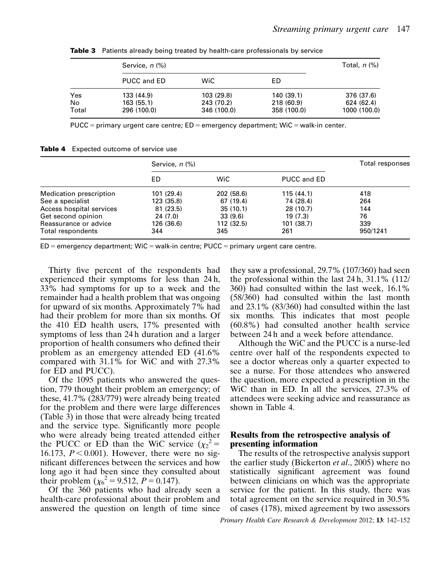|           | Service, n (%)          |                         |                          | Total, $n$ $\left(\% \right)$ |  |
|-----------|-------------------------|-------------------------|--------------------------|-------------------------------|--|
|           | PUCC and ED             | WiC                     | ED                       |                               |  |
| Yes<br>No | 133 (44.9)<br>163(55.1) | 103(29.8)<br>243 (70.2) | 140 (39.1)<br>218 (60.9) | 376 (37.6)<br>624 (62.4)      |  |
| Total     | 296 (100.0)             | 346 (100.0)             | 358 (100.0)              | 1000 (100.0)                  |  |

**Table 3** Patients already being treated by health-care professionals by service

PUCC = primary urgent care centre;  $ED$  = emergency department; WiC = walk-in center.

Table 4 Expected outcome of service use

|                          | Service, $n$ $\langle\% \rangle$ |            |             | Total responses |
|--------------------------|----------------------------------|------------|-------------|-----------------|
|                          | ED                               | <b>WiC</b> | PUCC and ED |                 |
| Medication prescription  | 101(29.4)                        | 202 (58.6) | 115(44.1)   | 418             |
| See a specialist         | 123 (35.8)                       | 67 (19.4)  | 74 (28.4)   | 264             |
| Access hospital services | 81 (23.5)                        | 35(10.1)   | 28 (10.7)   | 144             |
| Get second opinion       | 24(7.0)                          | 33(9.6)    | 19(7.3)     | 76              |
| Reassurance or advice    | 126 (36.6)                       | 112 (32.5) | 101(38.7)   | 339             |
| Total respondents        | 344                              | 345        | 261         | 950/1241        |

 $ED =$  emergency department; WiC = walk-in centre; PUCC = primary urgent care centre.

Thirty five percent of the respondents had experienced their symptoms for less than 24 h, 33% had symptoms for up to a week and the remainder had a health problem that was ongoing for upward of six months. Approximately 7% had had their problem for more than six months. Of the 410 ED health users, 17% presented with symptoms of less than 24 h duration and a larger proportion of health consumers who defined their problem as an emergency attended ED (41.6% compared with 31.1% for WiC and with 27.3% for ED and PUCC).

Of the 1095 patients who answered the question, 779 thought their problem an emergency; of these, 41.7% (283/779) were already being treated for the problem and there were large differences (Table 3) in those that were already being treated and the service type. Significantly more people who were already being treated attended either the PUCC or ED than the WiC service  $(x_2^2 =$ 16.173,  $P < 0.001$ ). However, there were no significant differences between the services and how long ago it had been since they consulted about their problem ( $\chi_6^2 = 9.512$ ,  $P = 0.147$ ).

Of the 360 patients who had already seen a health-care professional about their problem and answered the question on length of time since they saw a professional, 29.7% (107/360) had seen the professional within the last 24 h, 31.1% (112/ 360) had consulted within the last week, 16.1% (58/360) had consulted within the last month and 23.1% (83/360) had consulted within the last six months. This indicates that most people (60.8%) had consulted another health service between 24 h and a week before attendance.

Although the WiC and the PUCC is a nurse-led centre over half of the respondents expected to see a doctor whereas only a quarter expected to see a nurse. For those attendees who answered the question, more expected a prescription in the WiC than in ED. In all the services, 27.3% of attendees were seeking advice and reassurance as shown in Table 4.

#### Results from the retrospective analysis of presenting information

The results of the retrospective analysis support the earlier study (Bickerton et al., 2005) where no statistically significant agreement was found between clinicians on which was the appropriate service for the patient. In this study, there was total agreement on the service required in 30.5% of cases (178), mixed agreement by two assessors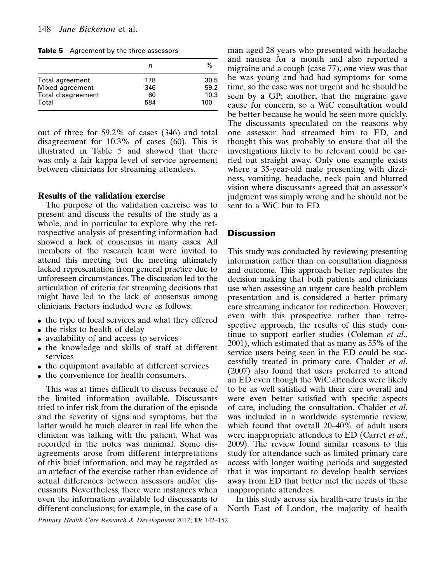Table 5 Agreement by the three assessors

|                    | n   | $\%$ |
|--------------------|-----|------|
| Total agreement    | 178 | 30.5 |
| Mixed agreement    | 346 | 59.2 |
| Total disagreement | 60  | 10.3 |
| Total              | 584 | 100  |

out of three for 59.2% of cases (346) and total disagreement for 10.3% of cases (60). This is illustrated in Table 5 and showed that there was only a fair kappa level of service agreement between clinicians for streaming attendees.

#### Results of the validation exercise

The purpose of the validation exercise was to present and discuss the results of the study as a whole, and in particular to explore why the retrospective analysis of presenting information had showed a lack of consensus in many cases. All members of the research team were invited to attend this meeting but the meeting ultimately lacked representation from general practice due to unforeseen circumstances. The discussion led to the articulation of criteria for streaming decisions that might have led to the lack of consensus among clinicians. Factors included were as follows:

- the type of local services and what they offered
- the risks to health of delay
- <sup>&</sup>gt; availability of and access to services
- <sup>&</sup>gt; the knowledge and skills of staff at different services
- <sup>&</sup>gt; the equipment available at different services
- the convenience for health consumers.

This was at times difficult to discuss because of the limited information available. Discussants tried to infer risk from the duration of the episode and the severity of signs and symptoms, but the latter would be much clearer in real life when the clinician was talking with the patient. What was recorded in the notes was minimal. Some disagreements arose from different interpretations of this brief information, and may be regarded as an artefact of the exercise rather than evidence of actual differences between assessors and/or discussants. Nevertheless, there were instances when even the information available led discussants to different conclusions; for example, in the case of a

man aged 28 years who presented with headache and nausea for a month and also reported a migraine and a cough (case 77), one view was that he was young and had had symptoms for some time, so the case was not urgent and he should be seen by a GP; another, that the migraine gave cause for concern, so a WiC consultation would be better because he would be seen more quickly. The discussants speculated on the reasons why one assessor had streamed him to ED, and thought this was probably to ensure that all the investigations likely to be relevant could be carried out straight away. Only one example exists where a 35-year-old male presenting with dizziness, vomiting, headache, neck pain and blurred vision where discussants agreed that an assessor's judgment was simply wrong and he should not be sent to a WiC but to ED.

#### **Discussion**

This study was conducted by reviewing presenting information rather than on consultation diagnosis and outcome. This approach better replicates the decision making that both patients and clinicians use when assessing an urgent care health problem presentation and is considered a better primary care streaming indicator for redirection. However, even with this prospective rather than retrospective approach, the results of this study continue to support earlier studies (Coleman *et al.*, 2001), which estimated that as many as 55% of the service users being seen in the ED could be successfully treated in primary care. Chalder et al. (2007) also found that users preferred to attend an ED even though the WiC attendees were likely to be as well satisfied with their care overall and were even better satisfied with specific aspects of care, including the consultation. Chalder et al. was included in a worldwide systematic review, which found that overall 20–40% of adult users were inappropriate attendees to ED (Carret *et al.*, 2009). The review found similar reasons to this study for attendance such as limited primary care access with longer waiting periods and suggested that it was important to develop health services away from ED that better met the needs of these inappropriate attendees.

In this study across six health-care trusts in the North East of London, the majority of health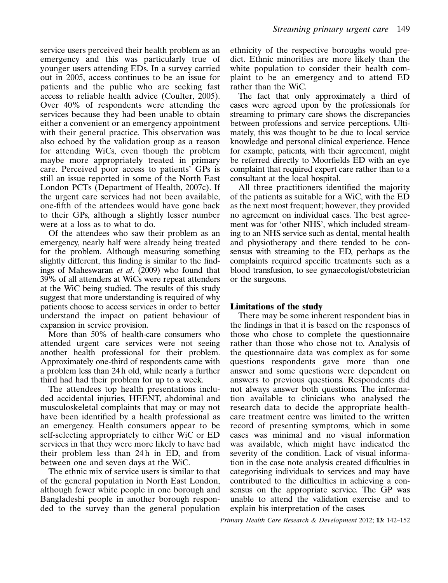service users perceived their health problem as an emergency and this was particularly true of younger users attending EDs. In a survey carried out in 2005, access continues to be an issue for patients and the public who are seeking fast access to reliable health advice (Coulter, 2005). Over 40% of respondents were attending the services because they had been unable to obtain either a convenient or an emergency appointment with their general practice. This observation was also echoed by the validation group as a reason for attending WiCs, even though the problem maybe more appropriately treated in primary care. Perceived poor access to patients' GPs is still an issue reported in some of the North East London PCTs (Department of Health, 2007c). If the urgent care services had not been available, one-fifth of the attendees would have gone back to their GPs, although a slightly lesser number were at a loss as to what to do.

Of the attendees who saw their problem as an emergency, nearly half were already being treated for the problem. Although measuring something slightly different, this finding is similar to the findings of Maheswaran et al. (2009) who found that 39% of all attenders at WiCs were repeat attenders at the WiC being studied. The results of this study suggest that more understanding is required of why patients choose to access services in order to better understand the impact on patient behaviour of expansion in service provision.

More than 50% of health-care consumers who attended urgent care services were not seeing another health professional for their problem. Approximately one-third of respondents came with a problem less than 24 h old, while nearly a further third had had their problem for up to a week.

The attendees top health presentations included accidental injuries, HEENT, abdominal and musculoskeletal complaints that may or may not have been identified by a health professional as an emergency. Health consumers appear to be self-selecting appropriately to either WiC or ED services in that they were more likely to have had their problem less than 24 h in ED, and from between one and seven days at the WiC.

The ethnic mix of service users is similar to that of the general population in North East London, although fewer white people in one borough and Bangladeshi people in another borough responded to the survey than the general population ethnicity of the respective boroughs would predict. Ethnic minorities are more likely than the white population to consider their health complaint to be an emergency and to attend ED rather than the WiC.

The fact that only approximately a third of cases were agreed upon by the professionals for streaming to primary care shows the discrepancies between professions and service perceptions. Ultimately, this was thought to be due to local service knowledge and personal clinical experience. Hence for example, patients, with their agreement, might be referred directly to Moorfields ED with an eye complaint that required expert care rather than to a consultant at the local hospital.

All three practitioners identified the majority of the patients as suitable for a WiC, with the ED as the next most frequent; however, they provided no agreement on individual cases. The best agreement was for 'other NHS', which included streaming to an NHS service such as dental, mental health and physiotherapy and there tended to be consensus with streaming to the ED, perhaps as the complaints required specific treatments such as a blood transfusion, to see gynaecologist/obstetrician or the surgeons.

#### Limitations of the study

There may be some inherent respondent bias in the findings in that it is based on the responses of those who chose to complete the questionnaire rather than those who chose not to. Analysis of the questionnaire data was complex as for some questions respondents gave more than one answer and some questions were dependent on answers to previous questions. Respondents did not always answer both questions. The information available to clinicians who analysed the research data to decide the appropriate healthcare treatment centre was limited to the written record of presenting symptoms, which in some cases was minimal and no visual information was available, which might have indicated the severity of the condition. Lack of visual information in the case note analysis created difficulties in categorising individuals to services and may have contributed to the difficulties in achieving a consensus on the appropriate service. The GP was unable to attend the validation exercise and to explain his interpretation of the cases.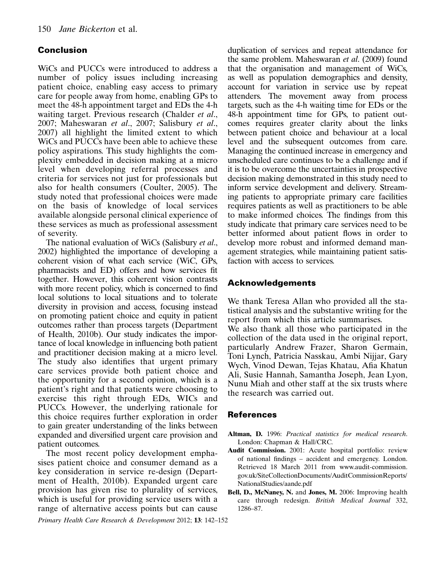#### Conclusion

WiCs and PUCCs were introduced to address a number of policy issues including increasing patient choice, enabling easy access to primary care for people away from home, enabling GPs to meet the 48-h appointment target and EDs the 4-h waiting target. Previous research (Chalder et al., 2007; Maheswaran et al., 2007; Salisbury et al., 2007) all highlight the limited extent to which WiCs and PUCCs have been able to achieve these policy aspirations. This study highlights the complexity embedded in decision making at a micro level when developing referral processes and criteria for services not just for professionals but also for health consumers (Coulter, 2005). The study noted that professional choices were made on the basis of knowledge of local services available alongside personal clinical experience of these services as much as professional assessment of severity.

The national evaluation of WiCs (Salisbury *et al.*, 2002) highlighted the importance of developing a coherent vision of what each service (WiC, GPs, pharmacists and ED) offers and how services fit together. However, this coherent vision contrasts with more recent policy, which is concerned to find local solutions to local situations and to tolerate diversity in provision and access, focusing instead on promoting patient choice and equity in patient outcomes rather than process targets (Department of Health, 2010b). Our study indicates the importance of local knowledge in influencing both patient and practitioner decision making at a micro level. The study also identifies that urgent primary care services provide both patient choice and the opportunity for a second opinion, which is a patient's right and that patients were choosing to exercise this right through EDs, WICs and PUCCs. However, the underlying rationale for this choice requires further exploration in order to gain greater understanding of the links between expanded and diversified urgent care provision and patient outcomes.

The most recent policy development emphasises patient choice and consumer demand as a key consideration in service re-design (Department of Health, 2010b). Expanded urgent care provision has given rise to plurality of services, which is useful for providing service users with a range of alternative access points but can cause

Primary Health Care Research & Development 2012; 13: 142–152

duplication of services and repeat attendance for the same problem. Maheswaran et al. (2009) found that the organisation and management of WiCs, as well as population demographics and density, account for variation in service use by repeat attenders. The movement away from process targets, such as the 4-h waiting time for EDs or the 48-h appointment time for GPs, to patient outcomes requires greater clarity about the links between patient choice and behaviour at a local level and the subsequent outcomes from care. Managing the continued increase in emergency and unscheduled care continues to be a challenge and if it is to be overcome the uncertainties in prospective decision making demonstrated in this study need to inform service development and delivery. Streaming patients to appropriate primary care facilities requires patients as well as practitioners to be able to make informed choices. The findings from this study indicate that primary care services need to be better informed about patient flows in order to develop more robust and informed demand management strategies, while maintaining patient satisfaction with access to services.

#### Acknowledgements

We thank Teresa Allan who provided all the statistical analysis and the substantive writing for the report from which this article summarises. We also thank all those who participated in the collection of the data used in the original report, particularly Andrew Frazer, Sharon Germain, Toni Lynch, Patricia Nasskau, Ambi Nijjar, Gary Wych, Vinod Dewan, Tejas Khatau, Afia Khatun Ali, Susie Hannah, Samantha Joseph, Jean Lyon, Nunu Miah and other staff at the six trusts where the research was carried out.

#### References

- Altman, D. 1996: Practical statistics for medical research. London: Chapman & Hall/CRC.
- Audit Commission. 2001: Acute hospital portfolio: review of national findings – accident and emergency. London. Retrieved 18 March 2011 from www.audit-commission. gov.uk/SiteCollectionDocuments/AuditCommissionReports/ NationalStudies/aande.pdf
- Bell, D., McNaney, N. and Jones, M. 2006: Improving health care through redesign. British Medical Journal 332, 1286–87.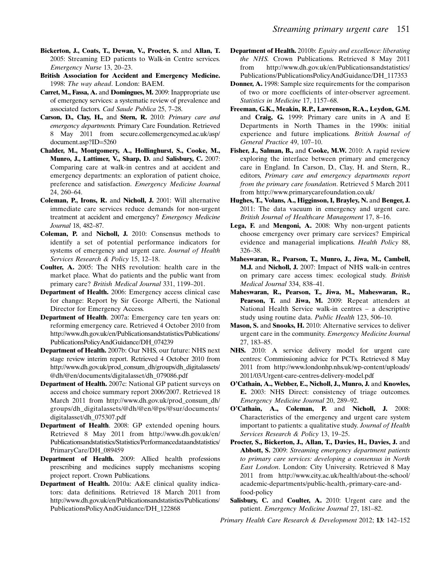- Bickerton, J., Coats, T., Dewan, V., Procter, S. and Allan, T. 2005: Streaming ED patients to Walk-in Centre services. Emergency Nurse 13, 20–23.
- British Association for Accident and Emergency Medicine. 1998: The way ahead. London: BAEM.
- Carret, M., Fassa, A. and Domingues, M. 2009: Inappropriate use of emergency services: a systematic review of prevalence and associated factors. Cad Saude Publica 25, 7–28.
- Carson, D., Clay, H., and Stern, R. 2010: Primary care and emergency departments. Primary Care Foundation. Retrieved 8 May 2011 from secure.collemergencymed.ac.uk/asp/ document.asp?ID=5260
- Chalder, M., Montgomery, A., Hollinghurst, S., Cooke, M., Munro, J., Lattimer, V., Sharp, D. and Salisbury, C. 2007: Comparing care at walk-in centres and at accident and emergency departments: an exploration of patient choice, preference and satisfaction. Emergency Medicine Journal 24, 260–64.
- Coleman, P., Irons, R. and Nicholl, J. 2001: Will alternative immediate care services reduce demands for non-urgent treatment at accident and emergency? Emergency Medicine Journal 18, 482–87.
- Coleman, P. and Nicholl, J. 2010: Consensus methods to identify a set of potential performance indicators for systems of emergency and urgent care. Journal of Health Services Research & Policy 15, 12–18.
- Coulter, A. 2005: The NHS revolution: health care in the market place. What do patients and the public want from primary care? British Medical Journal 331, 1199–201.
- Department of Health. 2006: Emergency access clinical case for change: Report by Sir George Alberti, the National Director for Emergency Access.
- Department of Health. 2007a: Emergency care ten years on: reforming emergency care. Retrieved 4 October 2010 from http://www.dh.gov.uk/en/Publicationsandstatistics/Publications/ PublicationsPolicyAndGuidance/DH\_074239
- Department of Health. 2007b: Our NHS, our future: NHS next stage review interim report. Retrieved 4 October 2010 from http://www.dh.gov.uk/prod\_consum\_dh/groups/dh\_digitalassets/ @dh/@en/documents/digitalasset/dh\_079086.pdf
- Department of Health. 2007c: National GP patient surveys on access and choice summary report 2006/2007. Retrieved 18 March 2011 from http://www.dh.gov.uk/prod\_consum\_dh/ groups/dh\_digitalassets/@dh/@en/@ps/@sur/documents/ digitalasset/dh\_075307.pdf
- Department of Health. 2008: GP extended opening hours. Retrieved 8 May 2011 from http://www.dh.gov.uk/en/ Publicationsandstatistics/Statistics/Performancedataandstatistics/ PrimaryCare/DH\_089459
- Department of Health. 2009: Allied health professions prescribing and medicines supply mechanisms scoping project report. Crown Publications.
- Department of Health. 2010a: A&E clinical quality indicators: data definitions. Retrieved 18 March 2011 from http://www.dh.gov.uk/en/Publicationsandstatistics/Publications/ PublicationsPolicyAndGuidance/DH\_122868
- Department of Health. 2010b: Equity and excellence: liberating the NHS. Crown Publications. Retrieved 8 May 2011 from http://www.dh.gov.uk/en/Publicationsandstatistics/ Publications/PublicationsPolicyAndGuidance/DH\_117353
- Donner, A. 1998: Sample size requirements for the comparison of two or more coefficients of inter-observer agreement. Statistics in Medicine 17, 1157–68.
- Freeman, G.K., Meakin, R.P., Lawrenson, R.A., Leydon, G.M. and Craig, G. 1999: Primary care units in A and E Departments in North Thames in the 1990s: initial experience and future implications. British Journal of General Practice 49, 107–10.
- Fisher, J., Salman, B., and Cooke, M.W. 2010: A rapid review exploring the interface between primary and emergency care in England. In Carson, D., Clay, H. and Stern, R., editors, Primary care and emergency departments report from the primary care foundation. Retrieved 5 March 2011 from http://www.primarycarefoundation.co.uk/
- Hughes, T., Volans, A., Higginson, I, Brayley, N. and Benger, J. 2011: The data vacuum in emergency and urgent care. British Journal of Healthcare Management 17, 8–16.
- Lega, F. and Mengoni, A. 2008: Why non-urgent patients choose emergency over primary care services? Empirical evidence and managerial implications. Health Policy 88, 326–38.
- Maheswaran, R., Pearson, T., Munro, J., Jiwa, M., Cambell, M.J. and Nicholl, J. 2007: Impact of NHS walk-in centres on primary care access times: ecological study. British Medical Journal 334, 838–41.
- Maheswaran, R., Pearson, T., Jiwa, M., Maheswaran, R., Pearson, T. and Jiwa, M. 2009: Repeat attenders at National Health Service walk-in centres – a descriptive study using routine data. Public Health 123, 506–10.
- Mason, S. and Snooks, H. 2010: Alternative services to deliver urgent care in the community. Emergency Medicine Journal 27, 183–85.
- NHS. 2010: A service delivery model for urgent care centres: Commissioning advice for PCTs. Retrieved 8 May 2011 from http://www.londonhp.nhs.uk/wp-content/uploads/ 2011/03/Urgent-care-centres-delivery-model.pdf
- O'Cathain, A., Webber, E., Nicholl, J., Munro, J. and Knowles, E. 2003: NHS Direct: consistency of triage outcomes. Emergency Medicine Journal 20, 289–92.
- O'Cathain, A., Coleman, P. and Nicholl, J. 2008: Characteristics of the emergency and urgent care system important to patients: a qualitative study. Journal of Health Services Research & Policy 13, 19–25.
- Procter, S., Bickerton, J., Allan, T., Davies, H., Davies, J. and Abbott, S. 2009: Streaming emergency department patients to primary care services: developing a consensus in North East London. London: City University. Retrieved 8 May 2011 from http://www.city.ac.uk/health/about-the-school/ academic-departments/public-health,-primary-care-andfood-policy
- Salisbury, C. and Coulter, A. 2010: Urgent care and the patient. Emergency Medicine Journal 27, 181–82.